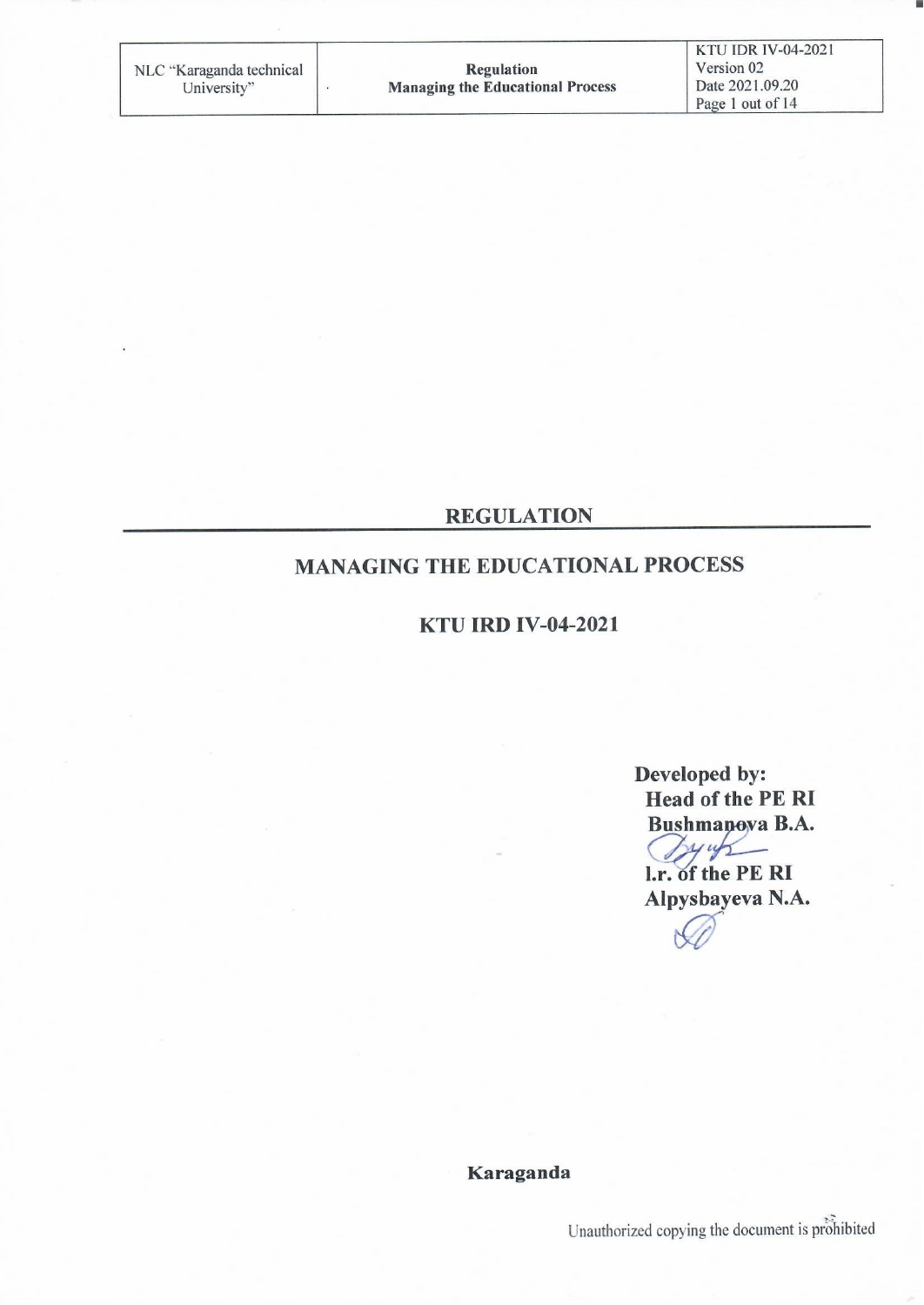**REGULATION** 

# **MANAGING THE EDUCATIONAL PROCESS**

**KTU IRD IV-04-2021** 

Developed by: **Head of the PE RI Bushmanova B.A.**  $2445$ l.r. of the PE RI Alpysbayeva N.A.

Karaganda

Unauthorized copying the document is prohibited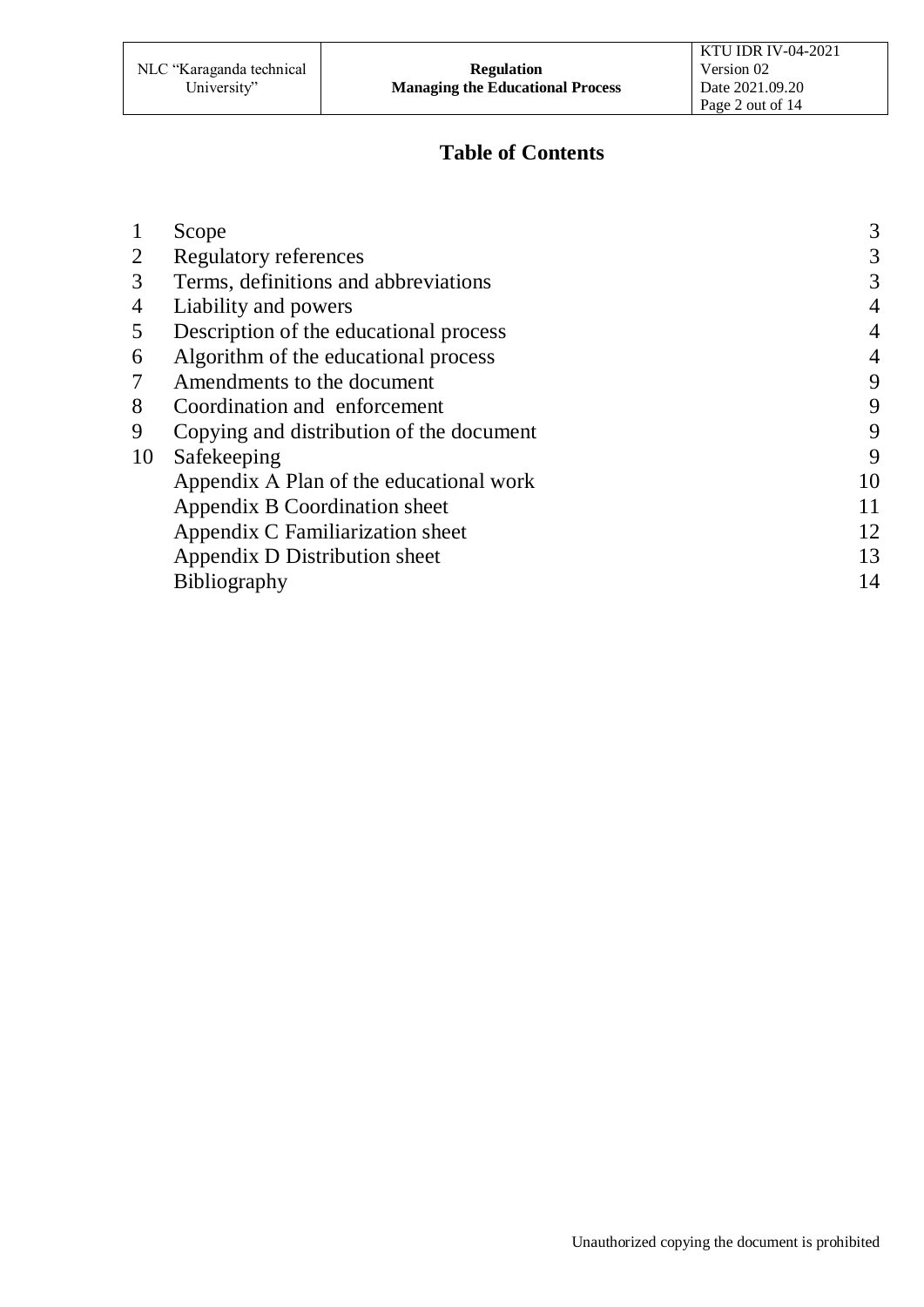# **Table of Contents**

|    | Scope                                    | 3  |
|----|------------------------------------------|----|
| 2  | <b>Regulatory references</b>             | 3  |
| 3  | Terms, definitions and abbreviations     | 3  |
| 4  | Liability and powers                     | 4  |
| 5  | Description of the educational process   | 4  |
| 6  | Algorithm of the educational process     | 4  |
| 7  | Amendments to the document               | 9  |
| 8  | Coordination and enforcement             | 9  |
| 9  | Copying and distribution of the document | 9  |
| 10 | Safekeeping                              | 9  |
|    | Appendix A Plan of the educational work  | 10 |
|    | Appendix B Coordination sheet            | 11 |
|    | Appendix C Familiarization sheet         | 12 |
|    | Appendix D Distribution sheet            | 13 |
|    | <b>Bibliography</b>                      | 14 |
|    |                                          |    |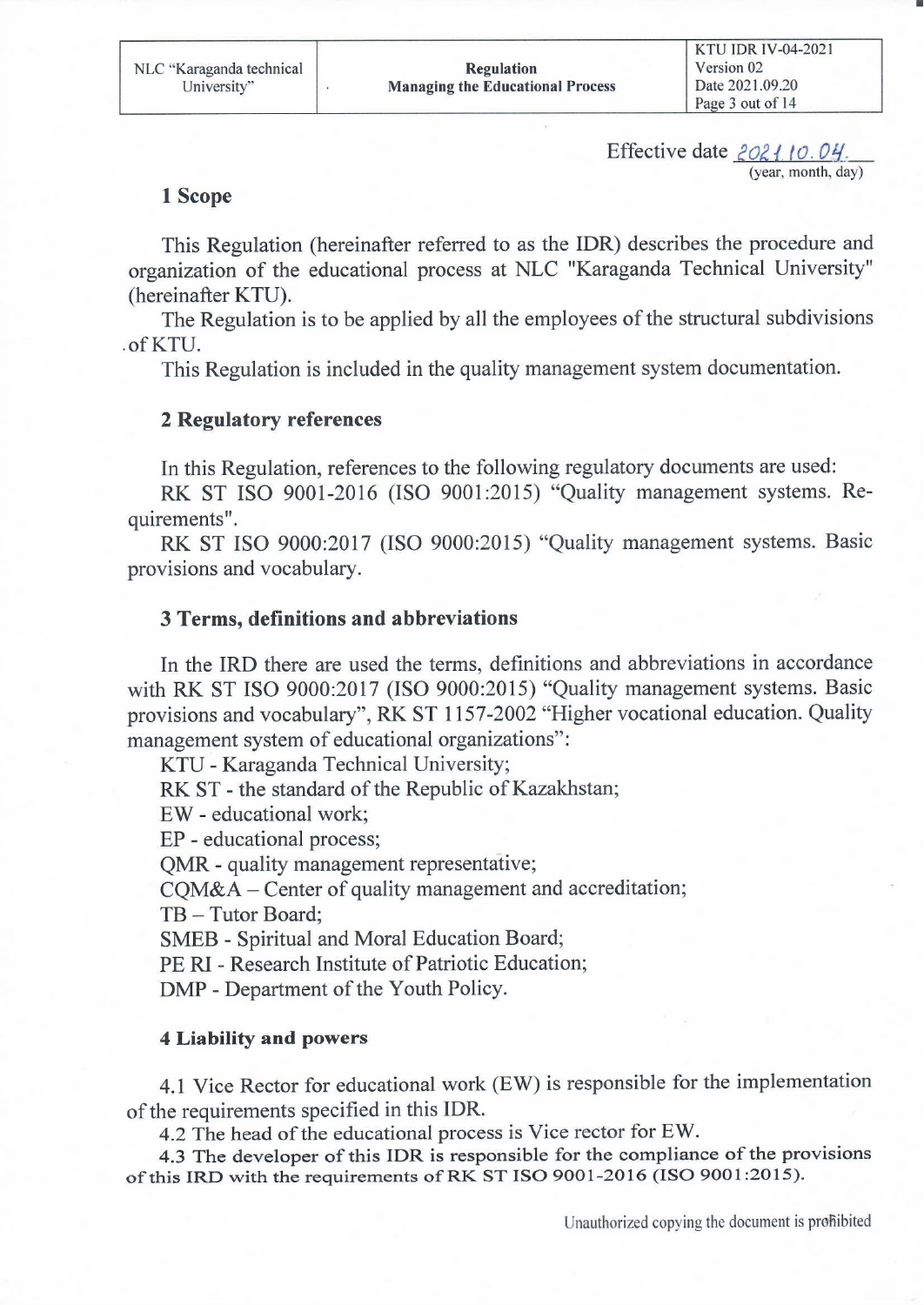Effective date 2021.10.04. (year, month, day)

#### 1 Scope

This Regulation (hereinafter referred to as the IDR) describes the procedure and organization of the educational process at NLC "Karaganda Technical University" (hereinafter KTU).

The Regulation is to be applied by all the employees of the structural subdivisions .of KTU.

This Regulation is included in the quality management system documentation.

#### **2 Regulatory references**

In this Regulation, references to the following regulatory documents are used:

RK ST ISO 9001-2016 (ISO 9001:2015) "Quality management systems. Requirements".

RK ST ISO 9000:2017 (ISO 9000:2015) "Quality management systems. Basic provisions and vocabulary.

#### **3 Terms, definitions and abbreviations**

In the IRD there are used the terms, definitions and abbreviations in accordance with RK ST ISO 9000:2017 (ISO 9000:2015) "Quality management systems. Basic provisions and vocabulary", RK ST 1157-2002 "Higher vocational education. Quality management system of educational organizations":

KTU - Karaganda Technical University;

RK ST - the standard of the Republic of Kazakhstan;

EW - educational work;

EP - educational process;

QMR - quality management representative;

COM&A – Center of quality management and accreditation;

TB - Tutor Board:

**SMEB** - Spiritual and Moral Education Board;

PE RI - Research Institute of Patriotic Education;

DMP - Department of the Youth Policy.

#### **4 Liability and powers**

4.1 Vice Rector for educational work (EW) is responsible for the implementation of the requirements specified in this IDR.

4.2 The head of the educational process is Vice rector for EW.

4.3 The developer of this IDR is responsible for the compliance of the provisions of this IRD with the requirements of RK ST ISO 9001-2016 (ISO 9001:2015).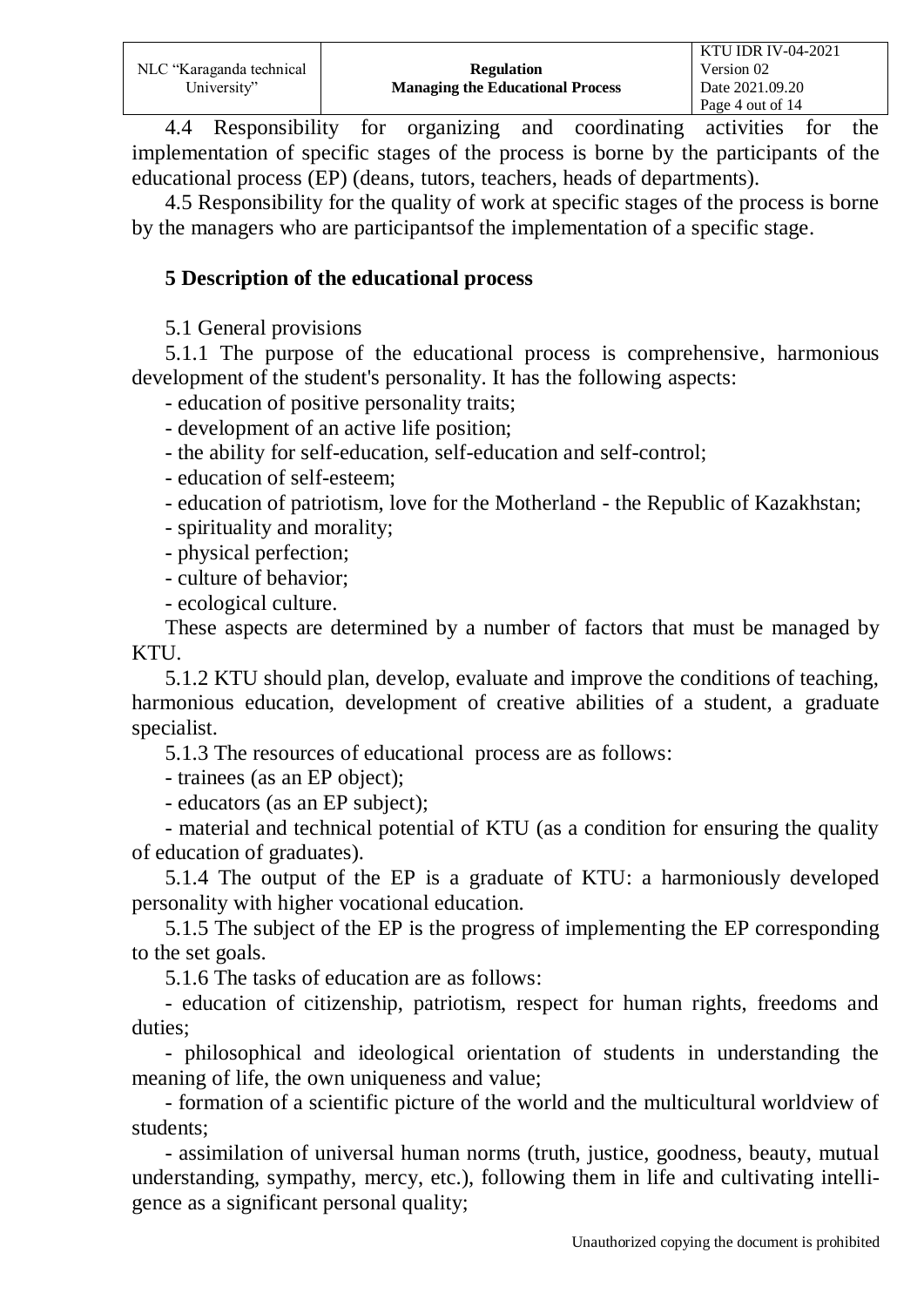|                          |                                         | <b>KTU IDR IV-04-2021</b> |
|--------------------------|-----------------------------------------|---------------------------|
| NLC "Karaganda technical | <b>Regulation</b>                       | Version 02                |
| University"              | <b>Managing the Educational Process</b> | Date 2021.09.20           |
|                          |                                         | Page 4 out of 14          |

4.4 Responsibility for organizing and coordinating activities for the implementation of specific stages of the process is borne by the participants of the educational process (EP) (deans, tutors, teachers, heads of departments).

4.5 Responsibility for the quality of work at specific stages of the process is borne by the managers who are participantsof the implementation of a specific stage.

#### **5 Description of the educational process**

5.1 General provisions

5.1.1 The purpose of the educational process is comprehensive, harmonious development of the student's personality. It has the following aspects:

- education of positive personality traits;

- development of an active life position;

- the ability for self-education, self-education and self-control;

- education of self-esteem;

- education of patriotism, love for the Motherland - the Republic of Kazakhstan;

- spirituality and morality;

- physical perfection;

- culture of behavior;

- ecological culture.

These aspects are determined by a number of factors that must be managed by KTU.

5.1.2 KTU should plan, develop, evaluate and improve the conditions of teaching, harmonious education, development of creative abilities of a student, a graduate specialist.

5.1.3 The resources of educational process are as follows:

- trainees (as an EP object);

- educators (as an EP subject);

- material and technical potential of KTU (as a condition for ensuring the quality of education of graduates).

5.1.4 The output of the EP is a graduate of KTU: a harmoniously developed personality with higher vocational education.

5.1.5 The subject of the EP is the progress of implementing the EP corresponding to the set goals.

5.1.6 The tasks of education are as follows:

- education of citizenship, patriotism, respect for human rights, freedoms and duties;

- philosophical and ideological orientation of students in understanding the meaning of life, the own uniqueness and value;

- formation of a scientific picture of the world and the multicultural worldview of students;

- assimilation of universal human norms (truth, justice, goodness, beauty, mutual understanding, sympathy, mercy, etc.), following them in life and cultivating intelligence as a significant personal quality;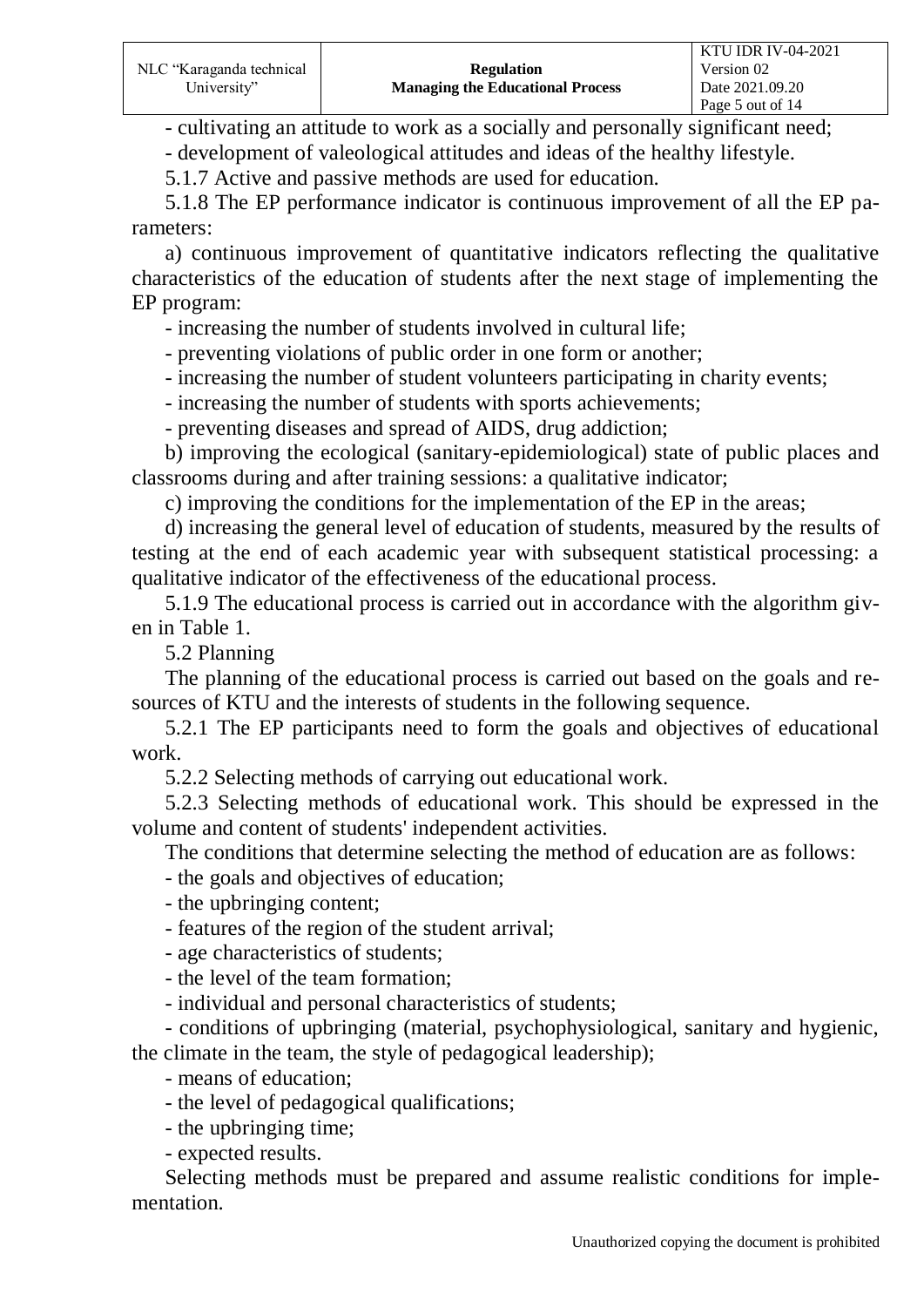- cultivating an attitude to work as a socially and personally significant need;

- development of valeological attitudes and ideas of the healthy lifestyle.

5.1.7 Active and passive methods are used for education.

5.1.8 The EP performance indicator is continuous improvement of all the EP parameters:

a) continuous improvement of quantitative indicators reflecting the qualitative characteristics of the education of students after the next stage of implementing the EP program:

- increasing the number of students involved in cultural life;

- preventing violations of public order in one form or another;

- increasing the number of student volunteers participating in charity events;

- increasing the number of students with sports achievements;

- preventing diseases and spread of AIDS, drug addiction;

b) improving the ecological (sanitary-epidemiological) state of public places and classrooms during and after training sessions: a qualitative indicator;

c) improving the conditions for the implementation of the EP in the areas;

d) increasing the general level of education of students, measured by the results of testing at the end of each academic year with subsequent statistical processing: a qualitative indicator of the effectiveness of the educational process.

5.1.9 The educational process is carried out in accordance with the algorithm given in Table 1.

5.2 Planning

The planning of the educational process is carried out based on the goals and resources of KTU and the interests of students in the following sequence.

5.2.1 The EP participants need to form the goals and objectives of educational work.

5.2.2 Selecting methods of carrying out educational work.

5.2.3 Selecting methods of educational work. This should be expressed in the volume and content of students' independent activities.

The conditions that determine selecting the method of education are as follows:

- the goals and objectives of education;

- the upbringing content;

- features of the region of the student arrival;

- age characteristics of students;

- the level of the team formation;

- individual and personal characteristics of students;

- conditions of upbringing (material, psychophysiological, sanitary and hygienic, the climate in the team, the style of pedagogical leadership);

- means of education;

- the level of pedagogical qualifications;

- the upbringing time;

- expected results.

Selecting methods must be prepared and assume realistic conditions for implementation.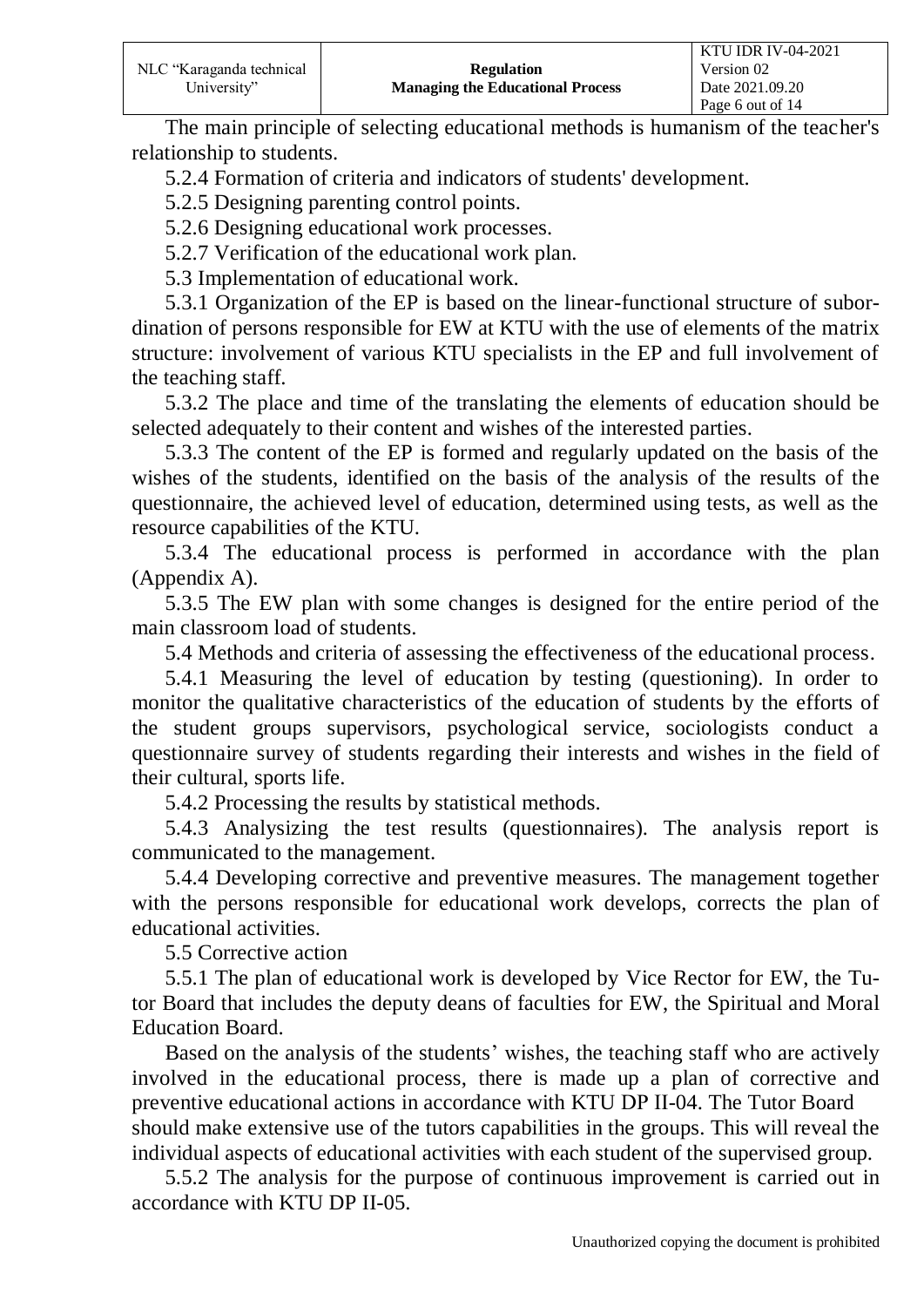The main principle of selecting educational methods is humanism of the teacher's relationship to students.

5.2.4 Formation of criteria and indicators of students' development.

5.2.5 Designing parenting control points.

5.2.6 Designing educational work processes.

5.2.7 Verification of the educational work plan.

5.3 Implementation of educational work.

5.3.1 Organization of the EP is based on the linear-functional structure of subordination of persons responsible for EW at KTU with the use of elements of the matrix structure: involvement of various KTU specialists in the EP and full involvement of the teaching staff.

5.3.2 The place and time of the translating the elements of education should be selected adequately to their content and wishes of the interested parties.

5.3.3 The content of the EP is formed and regularly updated on the basis of the wishes of the students, identified on the basis of the analysis of the results of the questionnaire, the achieved level of education, determined using tests, as well as the resource capabilities of the KTU.

5.3.4 The educational process is performed in accordance with the plan (Appendix A).

5.3.5 The EW plan with some changes is designed for the entire period of the main classroom load of students.

5.4 Methods and criteria of assessing the effectiveness of the educational process.

5.4.1 Measuring the level of education by testing (questioning). In order to monitor the qualitative characteristics of the education of students by the efforts of the student groups supervisors, psychological service, sociologists conduct a questionnaire survey of students regarding their interests and wishes in the field of their cultural, sports life.

5.4.2 Processing the results by statistical methods.

5.4.3 Analysizing the test results (questionnaires). The analysis report is communicated to the management.

5.4.4 Developing corrective and preventive measures. The management together with the persons responsible for educational work develops, corrects the plan of educational activities.

5.5 Corrective action

5.5.1 The plan of educational work is developed by Vice Rector for EW, the Tutor Board that includes the deputy deans of faculties for EW, the Spiritual and Moral Education Board.

Based on the analysis of the students' wishes, the teaching staff who are actively involved in the educational process, there is made up a plan of corrective and preventive educational actions in accordance with KTU DP ІІ-04. The Tutor Board should make extensive use of the tutors capabilities in the groups. This will reveal the individual aspects of educational activities with each student of the supervised group.

5.5.2 The analysis for the purpose of continuous improvement is carried out in accordance with KTU DP II-05.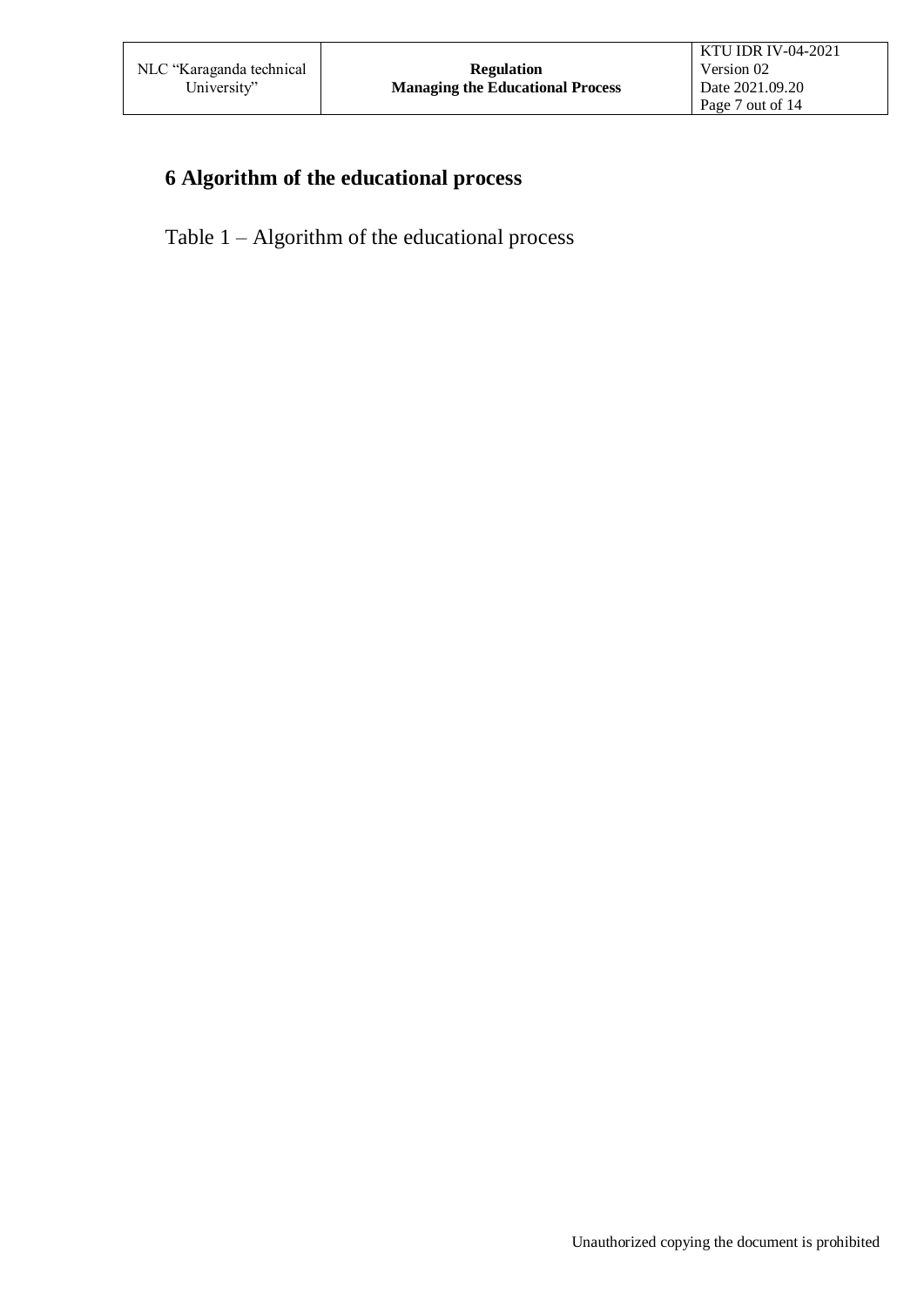# **6 Algorithm of the educational process**

Table 1 – Algorithm of the educational process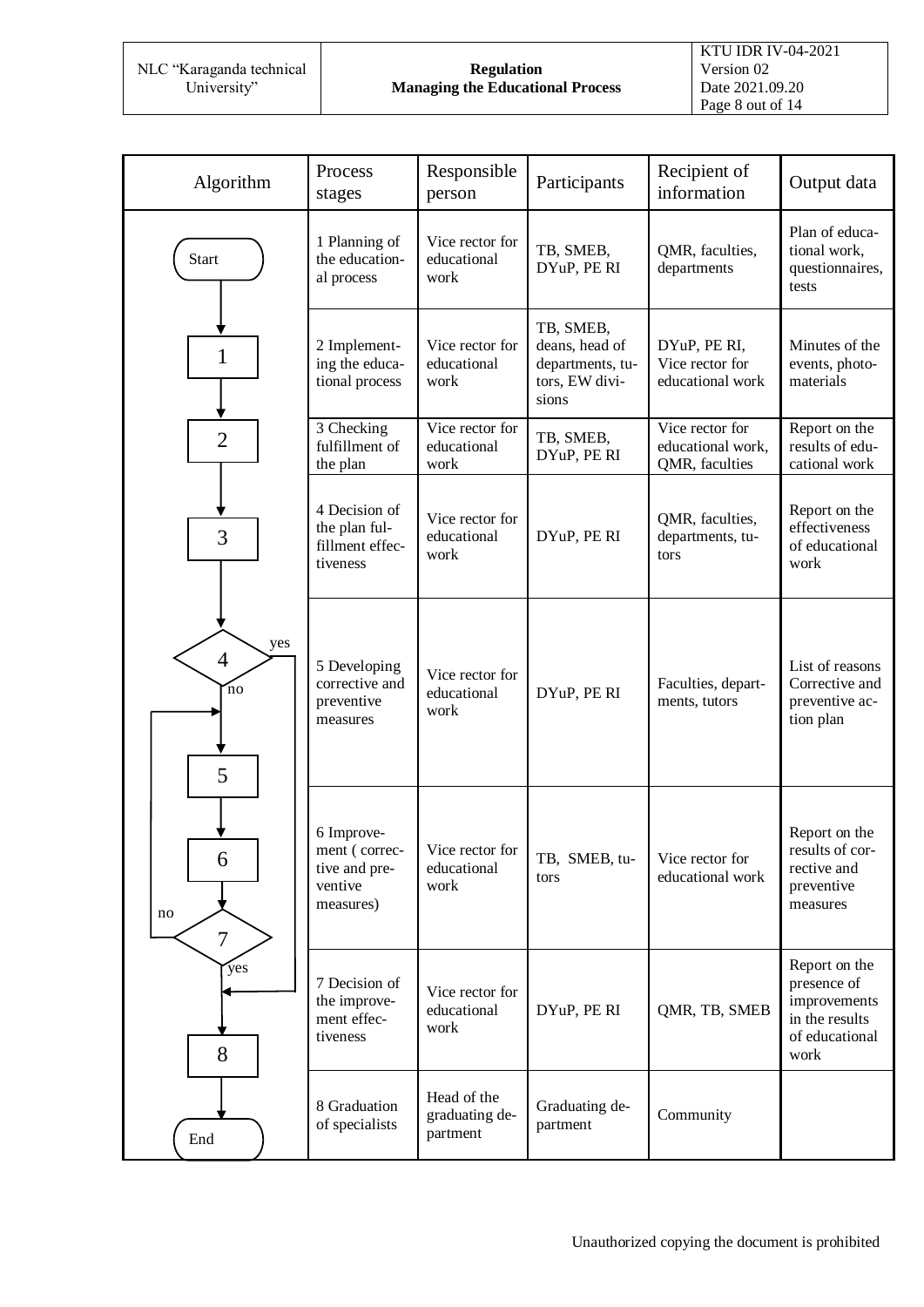NLC "Karaganda technical University"

#### **Regulation Managing the Educational Process**

| Algorithm                         | Process<br>stages                                                    | Responsible<br>person                     | Participants                                                               | Recipient of<br>information                            | Output data                                                                              |
|-----------------------------------|----------------------------------------------------------------------|-------------------------------------------|----------------------------------------------------------------------------|--------------------------------------------------------|------------------------------------------------------------------------------------------|
| <b>Start</b>                      | 1 Planning of<br>the education-<br>al process                        | Vice rector for<br>educational<br>work    | TB, SMEB,<br>DYuP, PE RI                                                   | QMR, faculties,<br>departments                         | Plan of educa-<br>tional work,<br>questionnaires,<br>tests                               |
| $\mathbf{1}$                      | 2 Implement-<br>ing the educa-<br>tional process                     | Vice rector for<br>educational<br>work    | TB, SMEB,<br>deans, head of<br>departments, tu-<br>tors, EW divi-<br>sions | DYuP, PE RI,<br>Vice rector for<br>educational work    | Minutes of the<br>events, photo-<br>materials                                            |
| $\overline{2}$                    | 3 Checking<br>fulfillment of<br>the plan                             | Vice rector for<br>educational<br>work    | TB, SMEB,<br>DYuP, PERI                                                    | Vice rector for<br>educational work,<br>QMR, faculties | Report on the<br>results of edu-<br>cational work                                        |
| 3                                 | 4 Decision of<br>the plan ful-<br>fillment effec-<br>tiveness        | Vice rector for<br>educational<br>work    | DYuP, PE RI                                                                | QMR, faculties,<br>departments, tu-<br>tors            | Report on the<br>effectiveness<br>of educational<br>work                                 |
| yes<br>$\overline{4}$<br>'no<br>5 | 5 Developing<br>corrective and<br>preventive<br>measures             | Vice rector for<br>educational<br>work    | DYuP, PERI                                                                 | Faculties, depart-<br>ments, tutors                    | List of reasons<br>Corrective and<br>preventive ac-<br>tion plan                         |
| 6<br>no<br>$\overline{7}$         | 6 Improve-<br>ment (correc-<br>tive and pre-<br>ventive<br>measures) | Vice rector for<br>educational<br>work    | TB, SMEB, tu-<br>tors                                                      | Vice rector for<br>educational work                    | Report on the<br>results of cor-<br>rective and<br>preventive<br>measures                |
| yes<br>8                          | 7 Decision of<br>the improve-<br>ment effec-<br>tiveness             | Vice rector for<br>educational<br>work    | DYuP, PE RI                                                                | QMR, TB, SMEB                                          | Report on the<br>presence of<br>improvements<br>in the results<br>of educational<br>work |
| End                               | 8 Graduation<br>of specialists                                       | Head of the<br>graduating de-<br>partment | Graduating de-<br>partment                                                 | Community                                              |                                                                                          |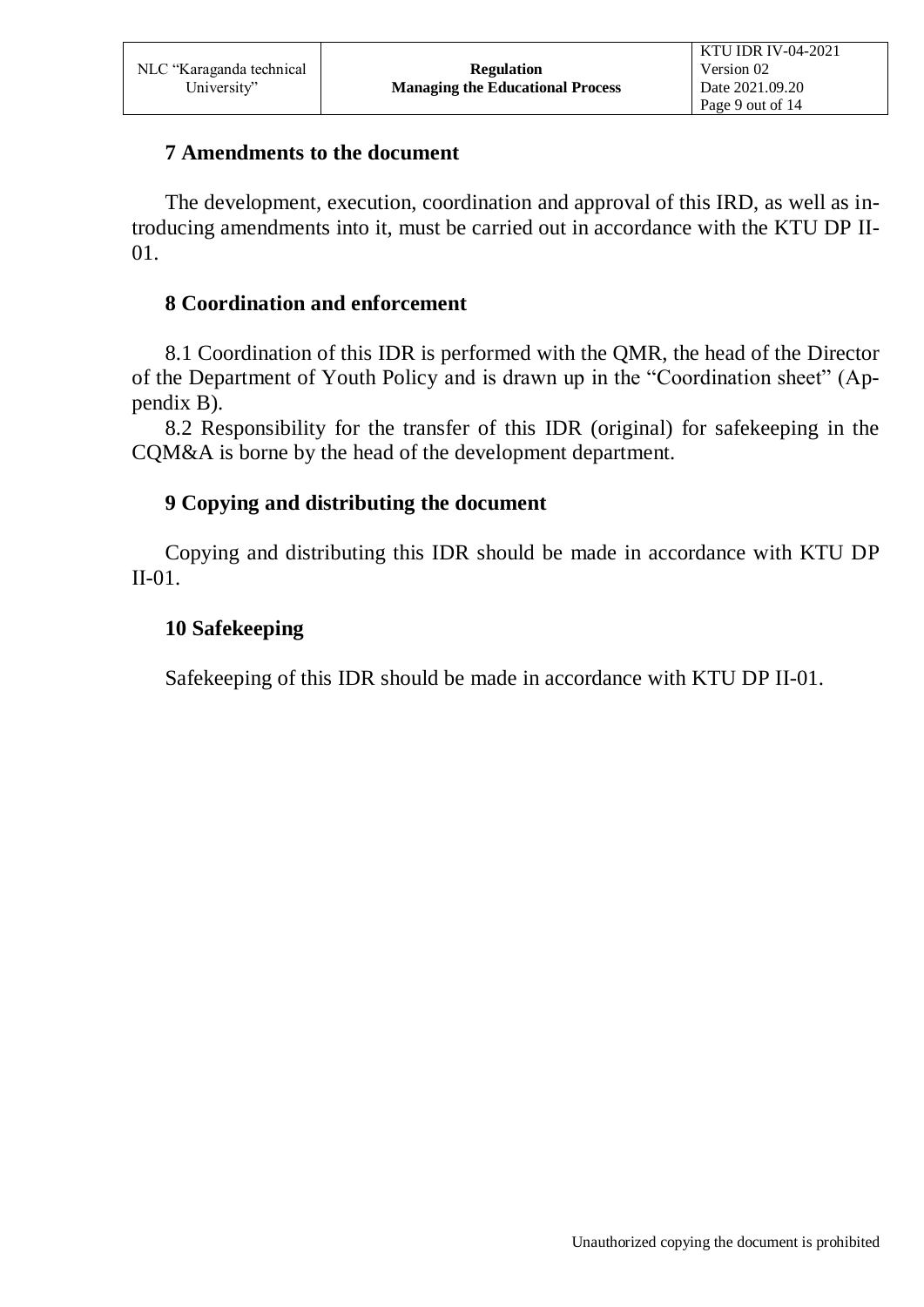### **7 Amendments to the document**

The development, execution, coordination and approval of this IRD, as well as introducing amendments into it, must be carried out in accordance with the KTU DP ІІ-01.

## **8 Coordination and enforcement**

8.1 Coordination of this IDR is performed with the QMR, the head of the Director of the Department of Youth Policy and is drawn up in the "Coordination sheet" (Appendix B).

8.2 Responsibility for the transfer of this IDR (original) for safekeeping in the CQM&A is borne by the head of the development department.

## **9 Copying and distributing the document**

Copying and distributing this IDR should be made in accordance with KTU DP ІІ-01.

## **10 Safekeeping**

Safekeeping of this IDR should be made in accordance with KTU DP ІІ-01.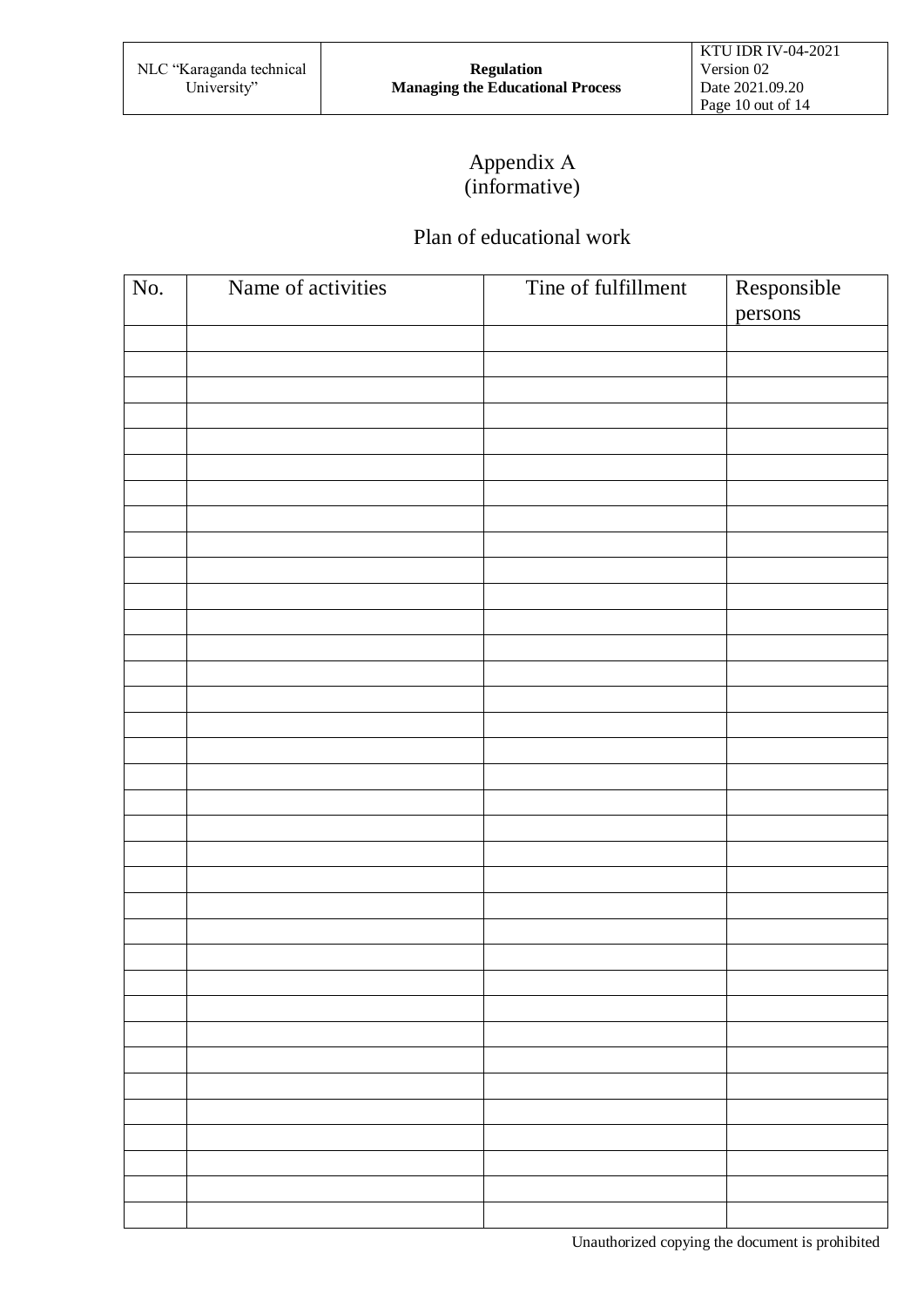# Appendix А (informative)

# Plan of educational work

| No. | Name of activities | Tine of fulfillment | Responsible<br>persons |
|-----|--------------------|---------------------|------------------------|
|     |                    |                     |                        |
|     |                    |                     |                        |
|     |                    |                     |                        |
|     |                    |                     |                        |
|     |                    |                     |                        |
|     |                    |                     |                        |
|     |                    |                     |                        |
|     |                    |                     |                        |
|     |                    |                     |                        |
|     |                    |                     |                        |
|     |                    |                     |                        |
|     |                    |                     |                        |
|     |                    |                     |                        |
|     |                    |                     |                        |
|     |                    |                     |                        |
|     |                    |                     |                        |
|     |                    |                     |                        |
|     |                    |                     |                        |
|     |                    |                     |                        |
|     |                    |                     |                        |
|     |                    |                     |                        |
|     |                    |                     |                        |
|     |                    |                     |                        |
|     |                    |                     |                        |
|     |                    |                     |                        |
|     |                    |                     |                        |
|     |                    |                     |                        |
|     |                    |                     |                        |
|     |                    |                     |                        |
|     |                    |                     |                        |
|     |                    |                     |                        |
|     |                    |                     |                        |
|     |                    |                     |                        |
|     |                    |                     |                        |
|     |                    |                     |                        |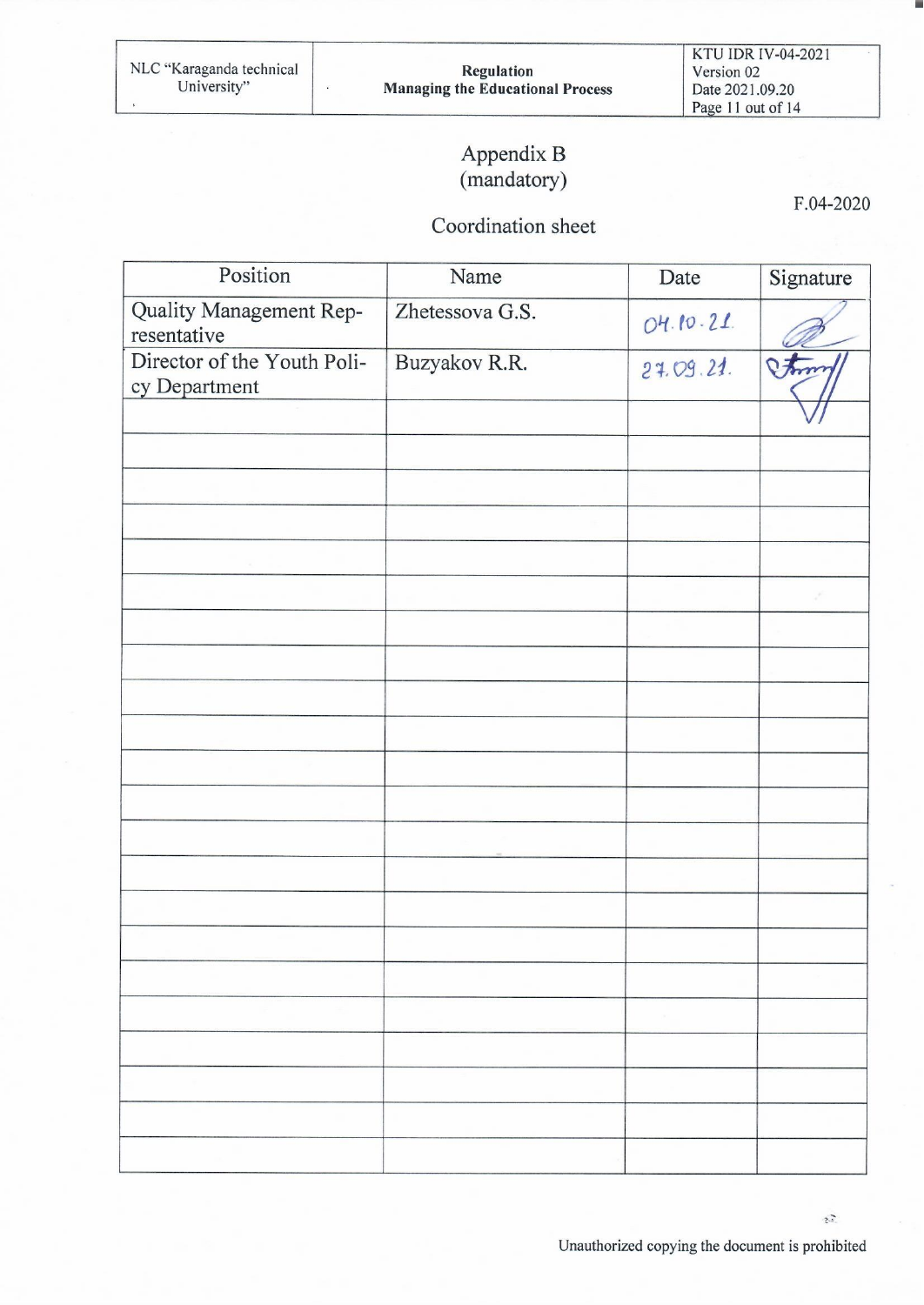$\tilde{\epsilon}$ 

# Appendix B (mandatory)

F.04-2020

٠

## Coordination sheet

| Position                               | Name            | Date      | Signature |
|----------------------------------------|-----------------|-----------|-----------|
| Quality Management Rep-<br>resentative | Zhetessova G.S. | 04.10.21  |           |
| Director of the Youth Poli-            | Buzyakov R.R.   | 24.09.21. | Phone     |
| cy Department                          |                 |           |           |
|                                        |                 |           |           |
|                                        |                 |           |           |
|                                        |                 |           |           |
|                                        |                 |           |           |
|                                        |                 |           |           |
|                                        |                 |           |           |
|                                        |                 |           |           |
|                                        |                 |           |           |
|                                        |                 |           |           |
|                                        |                 |           |           |
|                                        |                 |           |           |
|                                        |                 |           |           |
|                                        |                 |           |           |
|                                        |                 |           |           |
|                                        |                 |           |           |
|                                        |                 |           |           |
|                                        |                 |           |           |
|                                        |                 |           |           |
|                                        |                 |           |           |
|                                        |                 |           |           |
|                                        |                 |           |           |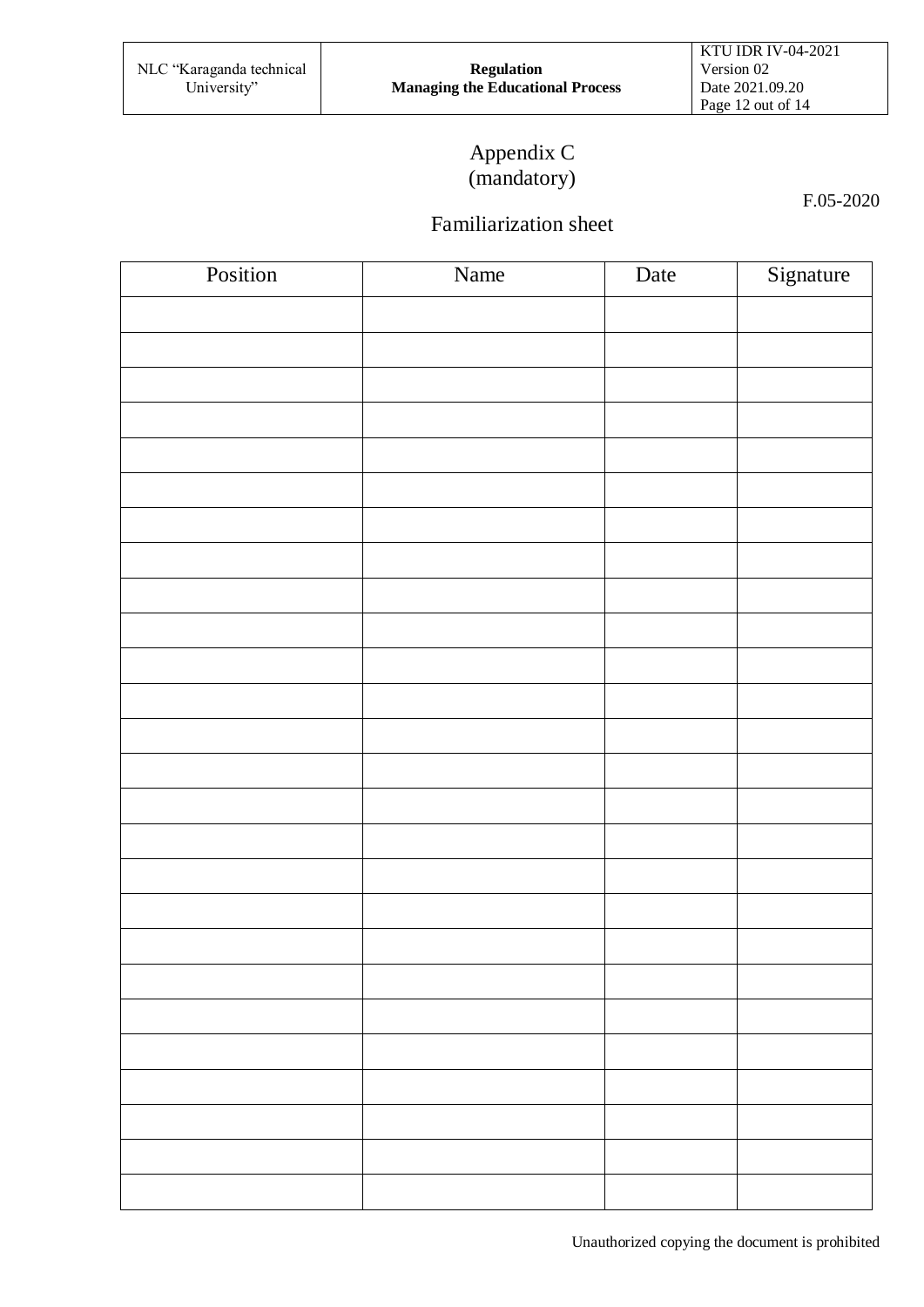# Appendix C (mandatory)

F.05-2020

# Familiarization sheet

| Position | Name | Date | Signature |
|----------|------|------|-----------|
|          |      |      |           |
|          |      |      |           |
|          |      |      |           |
|          |      |      |           |
|          |      |      |           |
|          |      |      |           |
|          |      |      |           |
|          |      |      |           |
|          |      |      |           |
|          |      |      |           |
|          |      |      |           |
|          |      |      |           |
|          |      |      |           |
|          |      |      |           |
|          |      |      |           |
|          |      |      |           |
|          |      |      |           |
|          |      |      |           |
|          |      |      |           |
|          |      |      |           |
|          |      |      |           |
|          |      |      |           |
|          |      |      |           |
|          |      |      |           |
|          |      |      |           |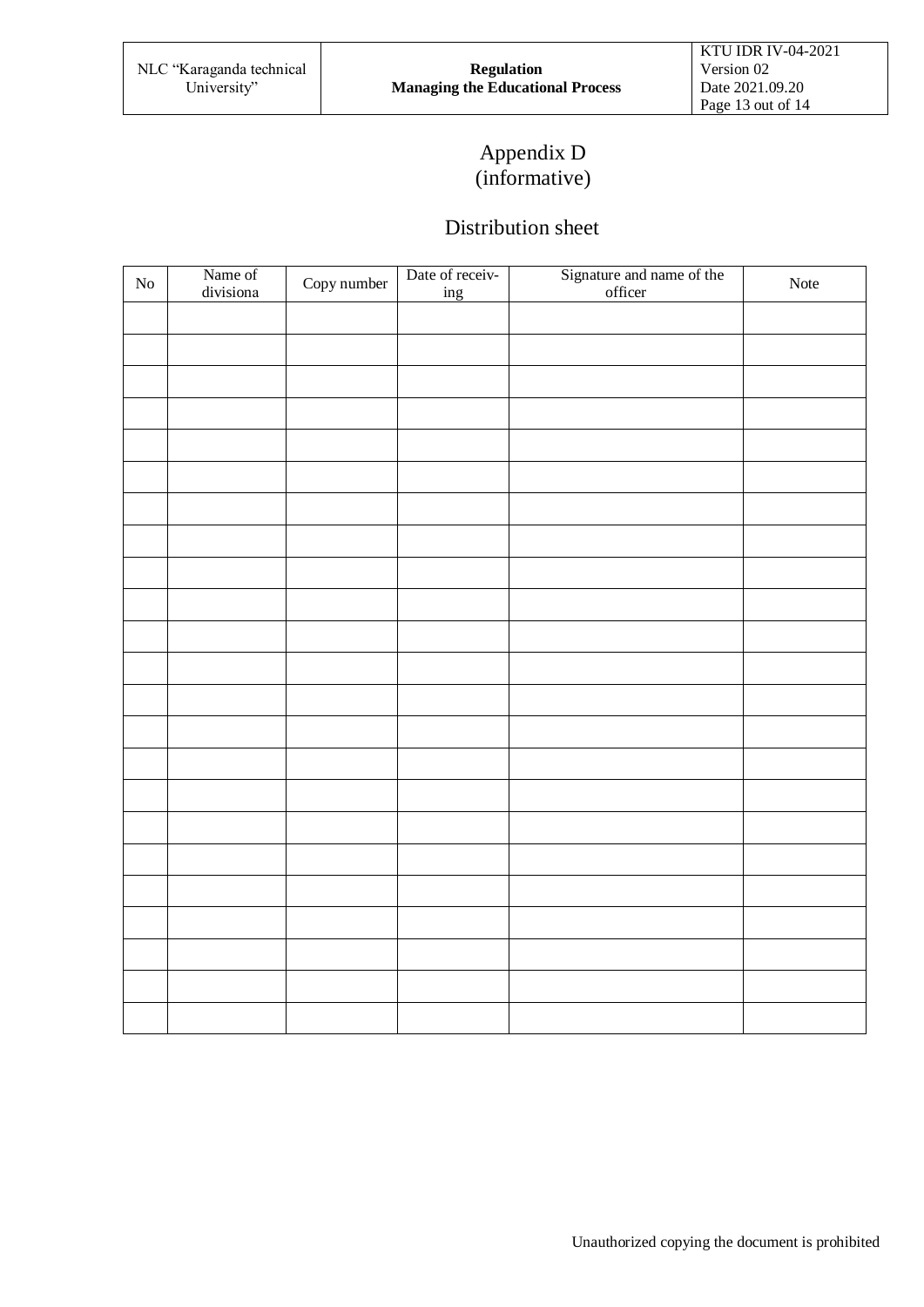# Appendix D (informative)

#### Distribution sheet

| ${\rm No}$ | Name of<br>divisiona | Copy number | Date of receiv-<br>ing | Signature and name of the officer | Note |
|------------|----------------------|-------------|------------------------|-----------------------------------|------|
|            |                      |             |                        |                                   |      |
|            |                      |             |                        |                                   |      |
|            |                      |             |                        |                                   |      |
|            |                      |             |                        |                                   |      |
|            |                      |             |                        |                                   |      |
|            |                      |             |                        |                                   |      |
|            |                      |             |                        |                                   |      |
|            |                      |             |                        |                                   |      |
|            |                      |             |                        |                                   |      |
|            |                      |             |                        |                                   |      |
|            |                      |             |                        |                                   |      |
|            |                      |             |                        |                                   |      |
|            |                      |             |                        |                                   |      |
|            |                      |             |                        |                                   |      |
|            |                      |             |                        |                                   |      |
|            |                      |             |                        |                                   |      |
|            |                      |             |                        |                                   |      |
|            |                      |             |                        |                                   |      |
|            |                      |             |                        |                                   |      |
|            |                      |             |                        |                                   |      |
|            |                      |             |                        |                                   |      |
|            |                      |             |                        |                                   |      |
|            |                      |             |                        |                                   |      |